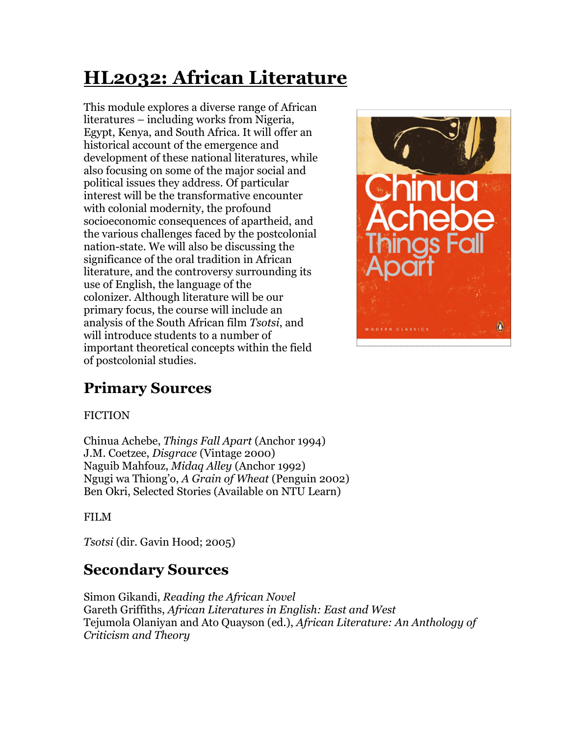# **HL2032: African Literature**

This module explores a diverse range of African literatures – including works from Nigeria, Egypt, Kenya, and South Africa. It will offer an historical account of the emergence and development of these national literatures, while also focusing on some of the major social and political issues they address. Of particular interest will be the transformative encounter with colonial modernity, the profound socioeconomic consequences of apartheid, and the various challenges faced by the postcolonial nation-state. We will also be discussing the significance of the oral tradition in African literature, and the controversy surrounding its use of English, the language of the colonizer. Although literature will be our primary focus, the course will include an analysis of the South African film *Tsotsi*, and will introduce students to a number of important theoretical concepts within the field of postcolonial studies.



# **Primary Sources**

#### FICTION

Chinua Achebe, *Things Fall Apart* (Anchor 1994) J.M. Coetzee, *Disgrace* (Vintage 2000) Naguib Mahfouz, *Midaq Alley* (Anchor 1992) Ngugi wa Thiong'o, *A Grain of Wheat* (Penguin 2002) Ben Okri, Selected Stories (Available on NTU Learn)

#### FILM

*Tsotsi* (dir. Gavin Hood; 2005)

# **Secondary Sources**

Simon Gikandi, *Reading the African Novel* Gareth Griffiths, *African Literatures in English: East and West* Tejumola Olaniyan and Ato Quayson (ed.), *African Literature: An Anthology of Criticism and Theory*